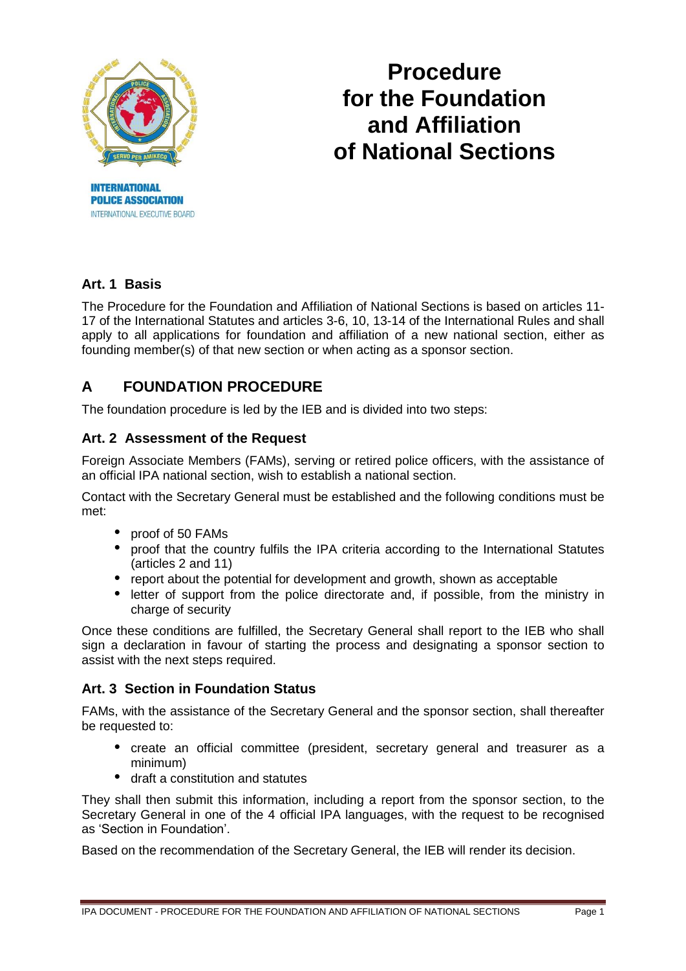

**POLICE ASSOCIATION** INTERNATIONAL EXECUTIVE BOARD

# **Procedure for the Foundation and Affiliation of National Sections**

# **Art. 1 Basis**

The Procedure for the Foundation and Affiliation of National Sections is based on articles 11- 17 of the International Statutes and articles 3-6, 10, 13-14 of the International Rules and shall apply to all applications for foundation and affiliation of a new national section, either as founding member(s) of that new section or when acting as a sponsor section.

# **A FOUNDATION PROCEDURE**

The foundation procedure is led by the IEB and is divided into two steps:

### **Art. 2 Assessment of the Request**

Foreign Associate Members (FAMs), serving or retired police officers, with the assistance of an official IPA national section, wish to establish a national section.

Contact with the Secretary General must be established and the following conditions must be met:

- proof of 50 FAMs
- proof that the country fulfils the IPA criteria according to the International Statutes (articles 2 and 11)
- report about the potential for development and growth, shown as acceptable
- letter of support from the police directorate and, if possible, from the ministry in charge of security

Once these conditions are fulfilled, the Secretary General shall report to the IEB who shall sign a declaration in favour of starting the process and designating a sponsor section to assist with the next steps required.

#### **Art. 3 Section in Foundation Status**

FAMs, with the assistance of the Secretary General and the sponsor section, shall thereafter be requested to:

- create an official committee (president, secretary general and treasurer as a minimum)
- draft a constitution and statutes

They shall then submit this information, including a report from the sponsor section, to the Secretary General in one of the 4 official IPA languages, with the request to be recognised as 'Section in Foundation'.

Based on the recommendation of the Secretary General, the IEB will render its decision.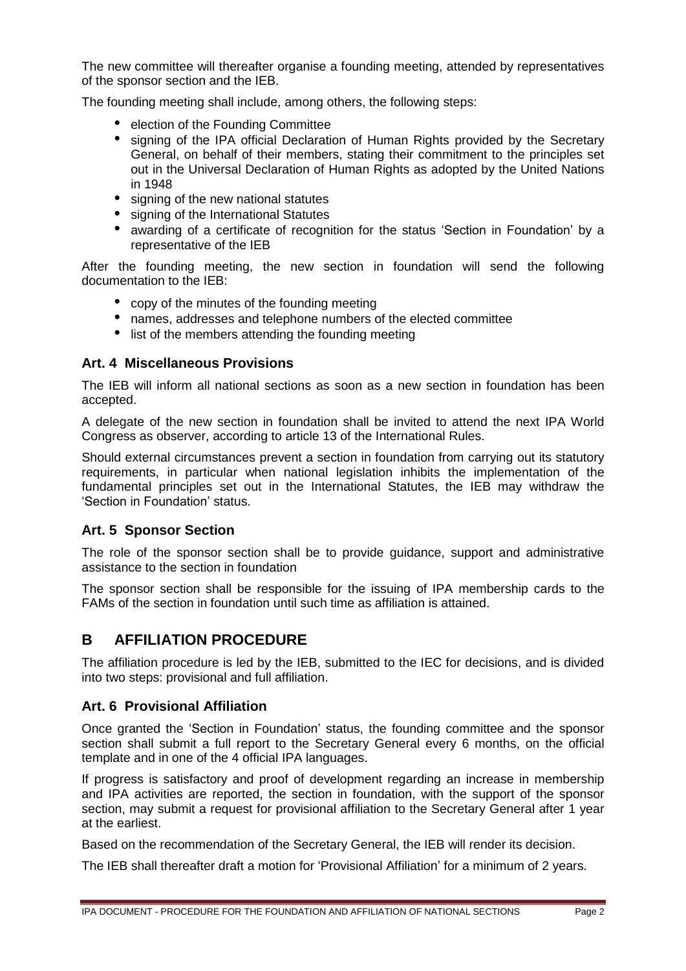The new committee will thereafter organise a founding meeting, attended by representatives of the sponsor section and the IEB.

The founding meeting shall include, among others, the following steps:

- election of the Founding Committee
- signing of the IPA official Declaration of Human Rights provided by the Secretary General, on behalf of their members, stating their commitment to the principles set out in the Universal Declaration of Human Rights as adopted by the United Nations in 1948
- signing of the new national statutes
- signing of the International Statutes
- awarding of a certificate of recognition for the status 'Section in Foundation' by a representative of the IEB

After the founding meeting, the new section in foundation will send the following documentation to the IEB:

- copy of the minutes of the founding meeting
- names, addresses and telephone numbers of the elected committee
- list of the members attending the founding meeting

#### **Art. 4 Miscellaneous Provisions**

The IEB will inform all national sections as soon as a new section in foundation has been accepted.

A delegate of the new section in foundation shall be invited to attend the next IPA World Congress as observer, according to article 13 of the International Rules.

Should external circumstances prevent a section in foundation from carrying out its statutory requirements, in particular when national legislation inhibits the implementation of the fundamental principles set out in the International Statutes, the IEB may withdraw the 'Section in Foundation' status.

#### **Art. 5 Sponsor Section**

The role of the sponsor section shall be to provide guidance, support and administrative assistance to the section in foundation

The sponsor section shall be responsible for the issuing of IPA membership cards to the FAMs of the section in foundation until such time as affiliation is attained.

## **B AFFILIATION PROCEDURE**

The affiliation procedure is led by the IEB, submitted to the IEC for decisions, and is divided into two steps: provisional and full affiliation.

#### **Art. 6 Provisional Affiliation**

Once granted the 'Section in Foundation' status, the founding committee and the sponsor section shall submit a full report to the Secretary General every 6 months, on the official template and in one of the 4 official IPA languages.

If progress is satisfactory and proof of development regarding an increase in membership and IPA activities are reported, the section in foundation, with the support of the sponsor section, may submit a request for provisional affiliation to the Secretary General after 1 year at the earliest.

Based on the recommendation of the Secretary General, the IEB will render its decision.

The IEB shall thereafter draft a motion for 'Provisional Affiliation' for a minimum of 2 years.